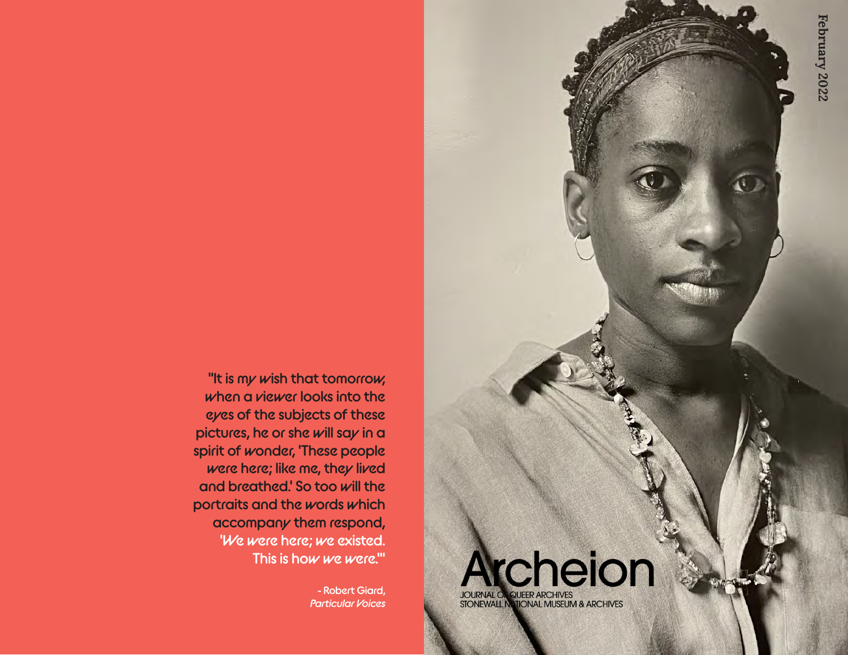**"It is my wish that tomorrow, when a viewer looks into the eyes of the subjects of these pictures, he or she will say in a spirit of wonder, 'These people were here; like me, they lived and breathed.' So too will the portraits and the words which accompany them respond, 'We were here; we existed. This is how we were.'"**

> **- Robert Giard,**  *Particular Voices*

**Ircheion JOURNAL OF QUEER ARCHIVES<br>STONEWALL NATIONAL MUSEUM & ARCHIVES**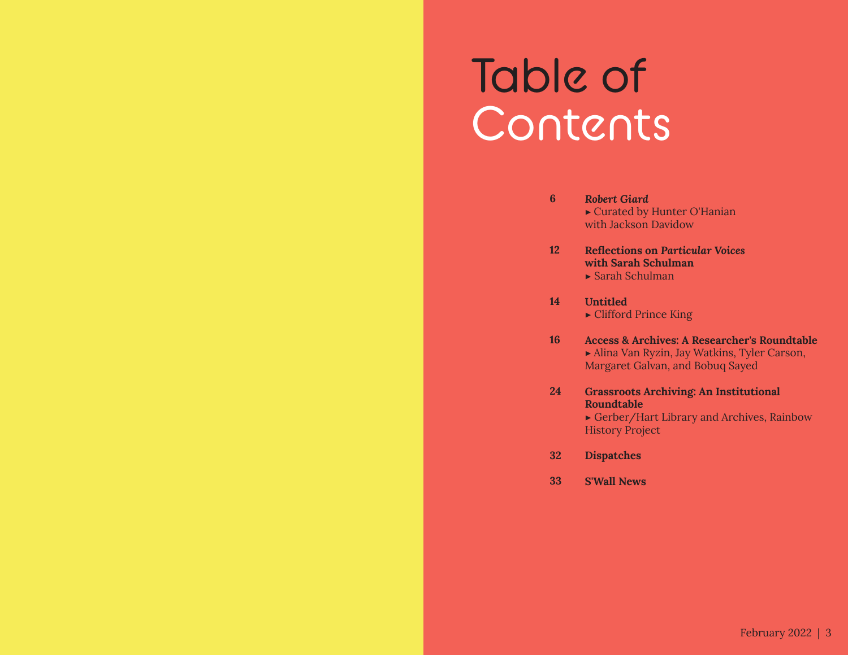## Table of Contents

- *Robert Giard* ▶ Curated by Hunter O'Hanian with Jackson Davidow **6**
- **Reflections on** *Particular Voices* **with Sarah Schulman 12**
	- $\blacktriangleright$  Sarah Schulman
- **Untitled** ▶ Clifford Prince King **14**
- **Access & Archives: A Researcher's Roundtable** ▶ Alina Van Ryzin, Jay Watkins, Tyler Carson, Margaret Galvan, and Bobuq Sayed **16**
- **Grassroots Archiving: An Institutional Roundtable 24**

▶ Gerber/Hart Library and Archives, Rainbow History Project

- **Dispatches 32**
- **S'Wall News 33**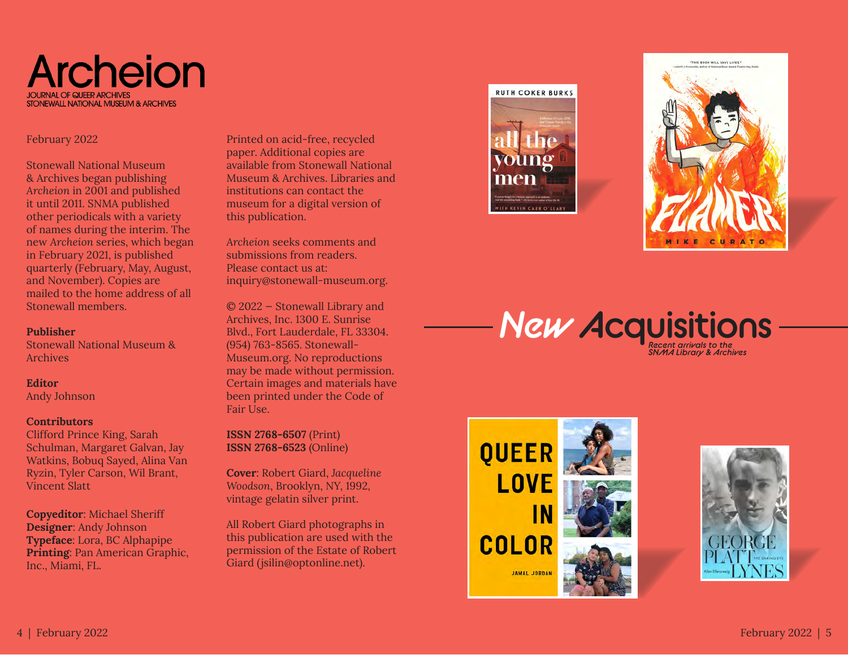### **Archeion STONEWALL NATIONAL MUSEUM & ARCHIVES**

#### February 2022

Stonewall National Museum & Archives began publishing *Archeion* in 2001 and published it until 2011. SNMA published other periodicals with a variety of names during the interim. The new *Archeion* series, which began in February 2021, is published quarterly (February, May, August, and November). Copies are mailed to the home address of all Stonewall members.

#### **Publisher**

Stonewall National Museum & Archives

#### **Editor**

Andy Johnson

#### **Contributors**

Clifford Prince King, Sarah Schulman, Margaret Galvan, Jay Watkins, Bobuq Sayed, Alina Van Ryzin, Tyler Carson, Wil Brant, Vincent Slatt

**Copyeditor**: Michael Sheriff **Designer**: Andy Johnson **Typeface**: Lora, BC Alphapipe **Printing**: Pan American Graphic, Inc., Miami, FL.

Printed on acid-free, recycled paper. Additional copies are available from Stonewall National Museum & Archives. Libraries and institutions can contact the museum for a digital version of this publication.

*Archeion* seeks comments and submissions from readers. Please contact us at: inquiry@stonewall-museum.org.

© 2022 — Stonewall Library and Archives, Inc. 1300 E. Sunrise Blvd., Fort Lauderdale, FL 33304. (954) 763-8565. Stonewall-Museum.org. No reproductions may be made without permission. Certain images and materials have been printed under the Code of Fair Use.

**ISSN 2768-6507** (Print) **ISSN 2768-6523** (Online)

**Cover**: Robert Giard, *Jacqueline Woodson*, Brooklyn, NY, 1992, vintage gelatin silver print.

All Robert Giard photographs in this publication are used with the permission of the Estate of Robert Giard (jsilin@optonline.net).





### *Recent arrivals to the New* **Acquisitions**

*SNMA Library & Archives*



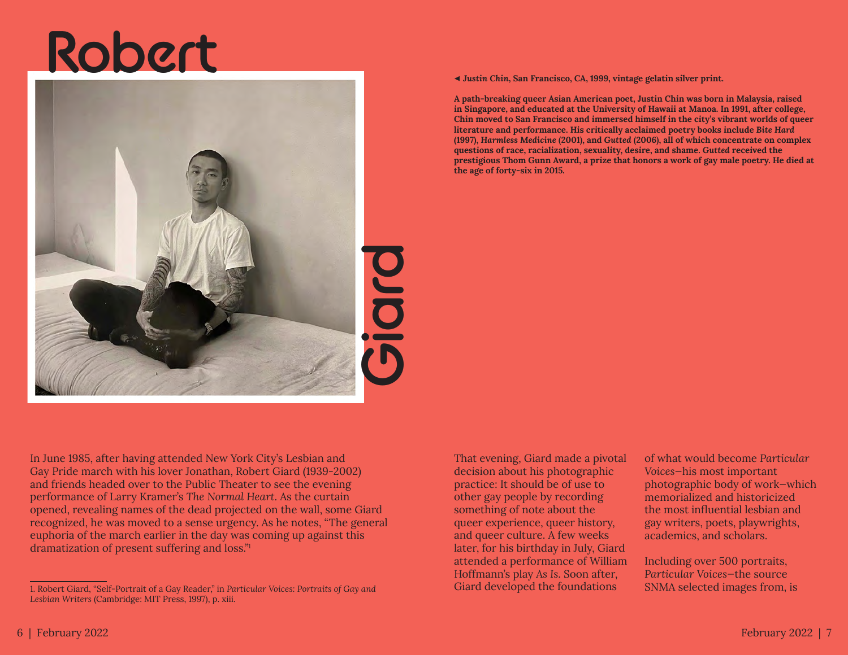# **Robert**



◀ *Justin Chin***, San Francisco, CA, 1999, vintage gelatin silver print.**

**A path-breaking queer Asian American poet, Justin Chin was born in Malaysia, raised in Singapore, and educated at the University of Hawaii at Manoa. In 1991, after college, Chin moved to San Francisco and immersed himself in the city's vibrant worlds of queer literature and performance. His critically acclaimed poetry books include** *Bite Hard* **(1997),** *Harmless Medicine* **(2001), and** *Gutted* **(2006), all of which concentrate on complex questions of race, racialization, sexuality, desire, and shame.** *Gutted* **received the prestigious Thom Gunn Award, a prize that honors a work of gay male poetry. He died at the age of forty-six in 2015.**

In June 1985, after having attended New York City's Lesbian and Gay Pride march with his lover Jonathan, Robert Giard (1939-2002) and friends headed over to the Public Theater to see the evening performance of Larry Kramer's *The Normal Heart*. As the curtain opened, revealing names of the dead projected on the wall, some Giard recognized, he was moved to a sense urgency. As he notes, "The general euphoria of the march earlier in the day was coming up against this dramatization of present suffering and loss."1

That evening, Giard made a pivotal decision about his photographic practice: It should be of use to other gay people by recording something of note about the queer experience, queer history, and queer culture. A few weeks later, for his birthday in July, Giard attended a performance of William Hoffmann's play *As Is*. Soon after, Giard developed the foundations

of what would become *Particular Voices*—his most important photographic body of work—which memorialized and historicized the most influential lesbian and gay writers, poets, playwrights, academics, and scholars.

Including over 500 portraits, *Particular Voices*—the source SNMA selected images from, is

<sup>1.</sup> Robert Giard, "Self-Portrait of a Gay Reader," in *Particular Voices: Portraits of Gay and Lesbian Writers* (Cambridge: MIT Press, 1997), p. xiii.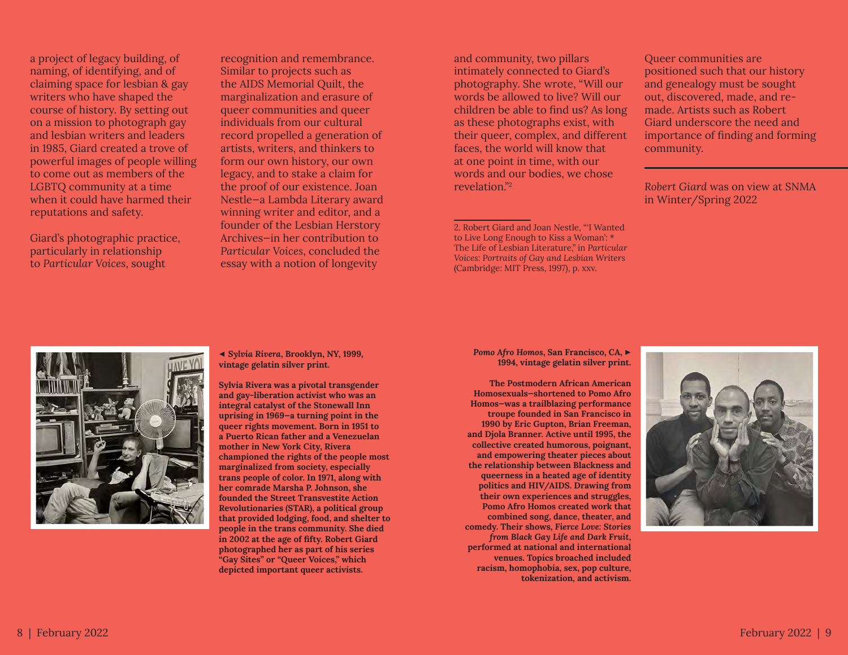a project of legacy building, of naming, of identifying, and of claiming space for lesbian & gay writers who have shaped the course of history. By setting out on a mission to photograph gay and lesbian writers and leaders in 1985, Giard created a trove of powerful images of people willing to come out as members of the LGBTQ community at a time when it could have harmed their reputations and safety.

Giard's photographic practice, particularly in relationship to *Particular Voices*, sought

recognition and remembrance. Similar to projects such as the AIDS Memorial Quilt, the marginalization and erasure of queer communities and queer individuals from our cultural record propelled a generation of artists, writers, and thinkers to form our own history, our own legacy, and to stake a claim for the proof of our existence. Joan Nestle—a Lambda Literary award winning writer and editor, and a founder of the Lesbian Herstory Archives—in her contribution to *Particular Voices*, concluded the essay with a notion of longevity

and community, two pillars intimately connected to Giard's photography. She wrote, "Will our words be allowed to live? Will our children be able to find us? As long as these photographs exist, with their queer, complex, and different faces, the world will know that at one point in time, with our words and our bodies, we chose revelation."2

2. Robert Giard and Joan Nestle, "'I Wanted to Live Long Enough to Kiss a Woman': \* The Life of Lesbian Literature," in *Particular Voices: Portraits of Gay and Lesbian Writers* (Cambridge: MIT Press, 1997), p. xxv.

Queer communities are positioned such that our history and genealogy must be sought out, discovered, made, and remade. Artists such as Robert Giard underscore the need and importance of finding and forming community.

*Robert Giard* was on view at SNMA in Winter/Spring 2022



◀ *Sylvia Rivera***, Brooklyn, NY, 1999, vintage gelatin silver print.**

**Sylvia Rivera was a pivotal transgender and gay-liberation activist who was an integral catalyst of the Stonewall Inn uprising in 1969—a turning point in the queer rights movement. Born in 1951 to a Puerto Rican father and a Venezuelan mother in New York City, Rivera championed the rights of the people most marginalized from society, especially trans people of color. In 1971, along with her comrade Marsha P. Johnson, she founded the Street Transvestite Action Revolutionaries (STAR), a political group that provided lodging, food, and shelter to people in the trans community. She died in 2002 at the age of fifty. Robert Giard photographed her as part of his series "Gay Sites" or "Queer Voices," which depicted important queer activists.**

*Pomo Afro Homos***, San Francisco, CA,** ▶ **1994, vintage gelatin silver print.** 

**The Postmodern African American Homosexuals—shortened to Pomo Afro Homos—was a trailblazing performance troupe founded in San Francisco in 1990 by Eric Gupton, Brian Freeman, and Djola Branner. Active until 1995, the collective created humorous, poignant, and empowering theater pieces about the relationship between Blackness and queerness in a heated age of identity politics and HIV/AIDS. Drawing from their own experiences and struggles, Pomo Afro Homos created work that combined song, dance, theater, and comedy. Their shows,** *Fierce Love: Stories from Black Gay Life and Dark Fruit***, performed at national and international venues. Topics broached included racism, homophobia, sex, pop culture, tokenization, and activism.**

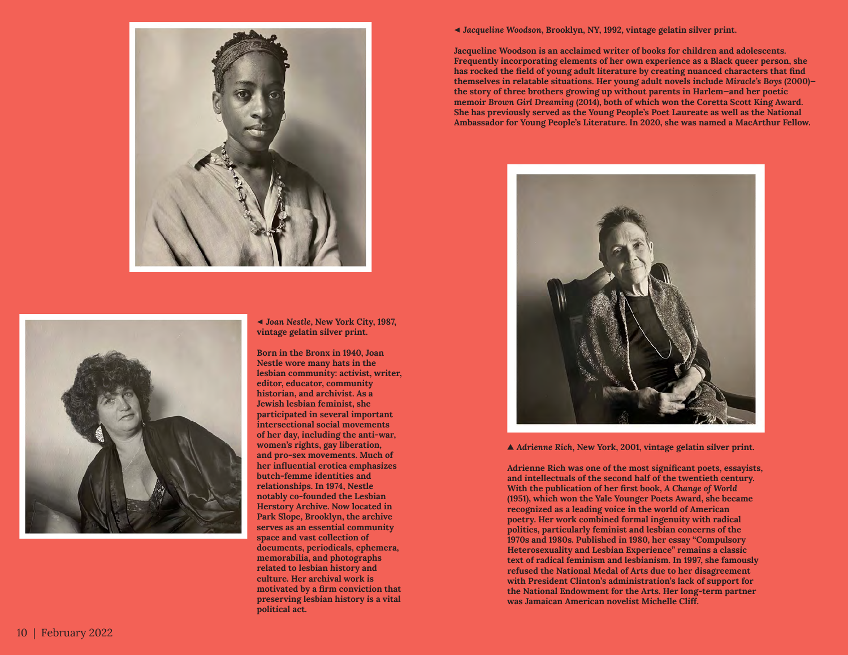



◀ *Joan Nestle***, New York City, 1987, vintage gelatin silver print.**

**Born in the Bronx in 1940, Joan Nestle wore many hats in the lesbian community: activist, writer, editor, educator, community historian, and archivist. As a Jewish lesbian feminist, she participated in several important intersectional social movements of her day, including the anti-war, women's rights, gay liberation, and pro-sex movements. Much of her influential erotica emphasizes butch-femme identities and relationships. In 1974, Nestle notably co-founded the Lesbian Herstory Archive. Now located in Park Slope, Brooklyn, the archive serves as an essential community space and vast collection of documents, periodicals, ephemera, memorabilia, and photographs related to lesbian history and culture. Her archival work is motivated by a firm conviction that preserving lesbian history is a vital political act.**

◀ *Jacqueline Woodson***, Brooklyn, NY, 1992, vintage gelatin silver print.**

**Jacqueline Woodson is an acclaimed writer of books for children and adolescents. Frequently incorporating elements of her own experience as a Black queer person, she has rocked the field of young adult literature by creating nuanced characters that find themselves in relatable situations. Her young adult novels include** *Miracle's Boys* **(2000) the story of three brothers growing up without parents in Harlem—and her poetic memoir** *Brown Girl Dreaming* **(2014), both of which won the Coretta Scott King Award. She has previously served as the Young People's Poet Laureate as well as the National Ambassador for Young People's Literature. In 2020, she was named a MacArthur Fellow.**



▲ *Adrienne Rich***, New York, 2001, vintage gelatin silver print.**

**Adrienne Rich was one of the most significant poets, essayists, and intellectuals of the second half of the twentieth century. With the publication of her first book,** *A Change of World* **(1951), which won the Yale Younger Poets Award, she became recognized as a leading voice in the world of American poetry. Her work combined formal ingenuity with radical politics, particularly feminist and lesbian concerns of the 1970s and 1980s. Published in 1980, her essay "Compulsory Heterosexuality and Lesbian Experience" remains a classic text of radical feminism and lesbianism. In 1997, she famously refused the National Medal of Arts due to her disagreement with President Clinton's administration's lack of support for the National Endowment for the Arts. Her long-term partner was Jamaican American novelist Michelle Cliff.**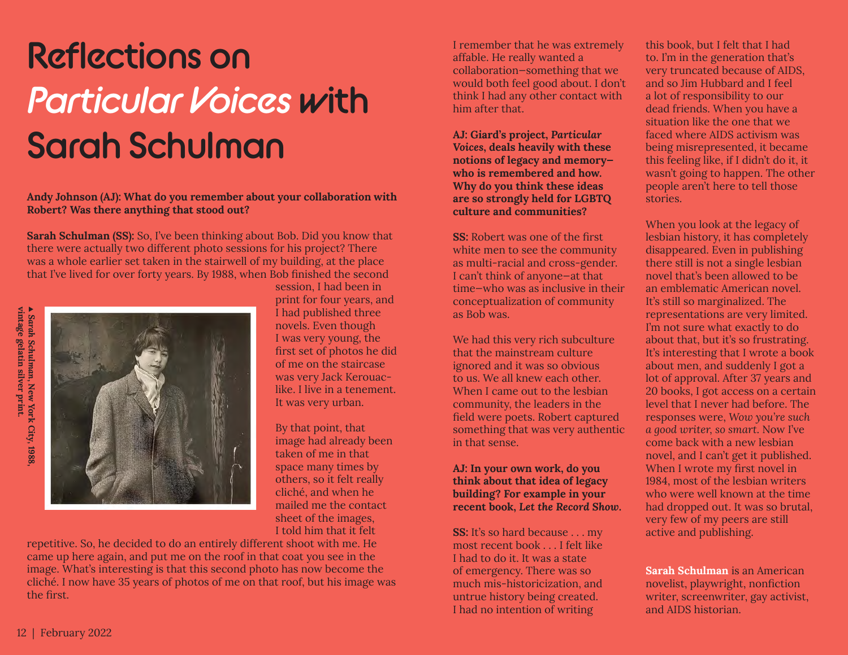### **Reflections on**  *Particular Voices* **with Sarah Schulman**

#### **Andy Johnson (AJ): What do you remember about your collaboration with Robert? Was there anything that stood out?**

**Sarah Schulman (SS):** So, I've been thinking about Bob. Did you know that there were actually two different photo sessions for his project? There was a whole earlier set taken in the stairwell of my building, at the place that I've lived for over forty years. By 1988, when Bob finished the second



session, I had been in print for four years, and I had published three novels. Even though I was very young, the first set of photos he did of me on the staircase was very Jack Kerouaclike. I live in a tenement. It was very urban.

By that point, that image had already been taken of me in that space many times by others, so it felt really cliché, and when he mailed me the contact sheet of the images, I told him that it felt

repetitive. So, he decided to do an entirely different shoot with me. He came up here again, and put me on the roof in that coat you see in the image. What's interesting is that this second photo has now become the cliché. I now have 35 years of photos of me on that roof, but his image was the first.

I remember that he was extremely affable. He really wanted a collaboration—something that we would both feel good about. I don't think I had any other contact with him after that.

**AJ: Giard's project,** *Particular Voices***, deals heavily with these notions of legacy and memory who is remembered and how. Why do you think these ideas are so strongly held for LGBTQ culture and communities?**

**SS:** Robert was one of the first white men to see the community as multi-racial and cross-gender. I can't think of anyone—at that time—who was as inclusive in their conceptualization of community as Bob was.

We had this very rich subculture that the mainstream culture ignored and it was so obvious to us. We all knew each other. When I came out to the lesbian community, the leaders in the field were poets. Robert captured something that was very authentic in that sense.

#### **AJ: In your own work, do you think about that idea of legacy building? For example in your recent book,** *Let the Record Show***.**

**SS:** It's so hard because . . . my most recent book . . . I felt like I had to do it. It was a state of emergency. There was so much mis-historicization, and untrue history being created. I had no intention of writing

this book, but I felt that I had to. I'm in the generation that's very truncated because of AIDS, and so Jim Hubbard and I feel a lot of responsibility to our dead friends. When you have a situation like the one that we faced where AIDS activism was being misrepresented, it became this feeling like, if I didn't do it, it wasn't going to happen. The other people aren't here to tell those stories.

When you look at the legacy of lesbian history, it has completely disappeared. Even in publishing there still is not a single lesbian novel that's been allowed to be an emblematic American novel. It's still so marginalized. The representations are very limited. I'm not sure what exactly to do about that, but it's so frustrating. It's interesting that I wrote a book about men, and suddenly I got a lot of approval. After 37 years and 20 books, I got access on a certain level that I never had before. The responses were, *Wow you're such a good writer, so smart*. Now I've come back with a new lesbian novel, and I can't get it published. When I wrote my first novel in 1984, most of the lesbian writers who were well known at the time had dropped out. It was so brutal, very few of my peers are still active and publishing.

**Sarah Schulman** is an American novelist, playwright, nonfiction writer, screenwriter, gay activist, and AIDS historian.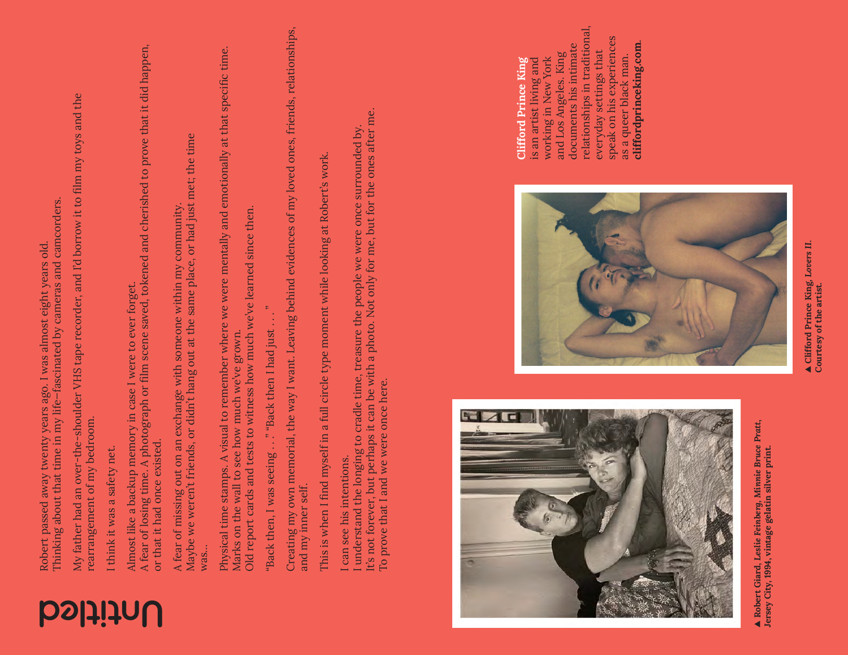| <b>bslithul</b> |  |
|-----------------|--|
|-----------------|--|

Robert passed away twenty years ago. I was almost eight years old.<br>Thinking about that time in my life–fascinated by cameras and camcorders.<br>My father had an over-the-shoulder VHS tape recorder, and I'd borrow it to film m

Maybe we weren't friends, or didn't hang out at the same place, or had just met; the time Maybe we weren't friends, or didn't hang out at the same place, or had just met; the time A fear of missing out on an exchange with someone within my community. A fear of missing out on an exchange with someone within my community. was…

Physical time stamps. A visual to remember where we were mentally and emotionally at that specific time. Physical time stamps. A visual to remember where we were mentally and emotionally at that specific time. Old report cards and tests to witness how much we've learned since then. Old report cards and tests to witness how much we've learned since then. Marks on the wall to see how much we've grown. Marks on the wall to see how much we've grown.

"Back then, I was seeing  $\ldots$  " "Back then I had just  $\ldots$  ." "Back then, I was seeing . . . " "Back then I had just . . .

Creating my own memorial, the way I want. Leaving behind evidences of my loved ones, friends, relationships, Creating my own memorial, the way I want. Leaving behind evidences of my loved ones, friends, relationships, and my inner self. and my inner self.

This is when I find myself in a full circle type moment while looking at Robert's work. This is when I find myself in a full circle type moment while looking at Robert's work

I can see his intentions. I can see his intentions.

It's not forever, but perhaps it can be with a photo. Not only for me, but for the ones after me. It's not forever, but perhaps it can be with a photo. Not only for me, but for the ones after me. I understand the longing to cradle time, treasure the people we were once surrounded by. I understand the longing to cradle time, treasure the people we were once surrounded by To prove that I and we were once here. To prove that I and we were once here.



▲ **Robert Giard,** *Leslie Feinberg, Minnie Bruce Pratt***,**   $\blacktriangle$  Robert Giard, Leslie Feinberg, Minnie Bruce Pratt, Jersey City, 1994, vintage gelatin silver print. **Jersey City, 1994, vintage gelatin silver print.**



relationships in traditional, relationships in traditional, speak on his experiences speak on his experiences documents his intimate cliffordprinceking.com. **cliffordprinceking.com**. documents his intimate everyday settings that and Los Angeles. King and Los Angeles. King everyday settings that as a queer black man. working in New York working in New York is an artist living and as a queer black man. is an artist living and Clifford Prince King **Clifford Prince King**

> ▲ **Clifford Prince King,** *Lovers II***.**   $\blacktriangle$  Clifford Prince King, Lovers II. Courtesy of the artist. **Courtesy of the artist.**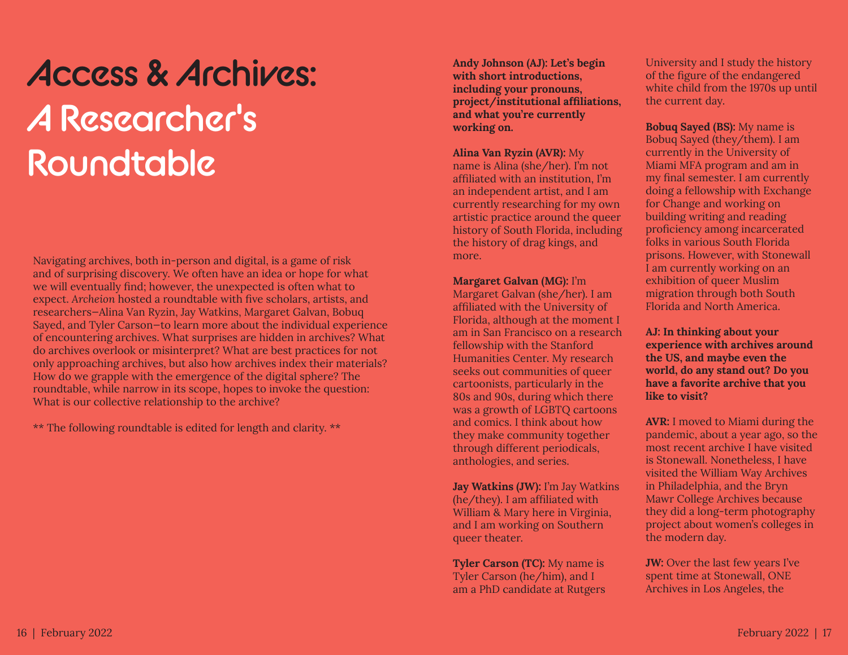### **Access & Archives: A Researcher's Roundtable**

Navigating archives, both in-person and digital, is a game of risk and of surprising discovery. We often have an idea or hope for what we will eventually find; however, the unexpected is often what to expect. *Archeion* hosted a roundtable with five scholars, artists, and researchers—Alina Van Ryzin, Jay Watkins, Margaret Galvan, Bobuq Sayed, and Tyler Carson—to learn more about the individual experience of encountering archives. What surprises are hidden in archives? What do archives overlook or misinterpret? What are best practices for not only approaching archives, but also how archives index their materials? How do we grapple with the emergence of the digital sphere? The roundtable, while narrow in its scope, hopes to invoke the question: What is our collective relationship to the archive?

\*\* The following roundtable is edited for length and clarity. \*\*

**Andy Johnson (AJ): Let's begin with short introductions, including your pronouns, project/institutional affiliations, and what you're currently working on.**

**Alina Van Ryzin (AVR):** My

name is Alina (she/her). I'm not affiliated with an institution, I'm an independent artist, and I am currently researching for my own artistic practice around the queer history of South Florida, including the history of drag kings, and more.

**Margaret Galvan (MG):** I'm

Margaret Galvan (she/her). I am affiliated with the University of Florida, although at the moment I am in San Francisco on a research fellowship with the Stanford Humanities Center. My research seeks out communities of queer cartoonists, particularly in the 80s and 90s, during which there was a growth of LGBTQ cartoons and comics. I think about how they make community together through different periodicals, anthologies, and series.

**Jay Watkins (JW):** I'm Jay Watkins (he/they). I am affiliated with William & Mary here in Virginia, and I am working on Southern queer theater.

**Tyler Carson (TC):** My name is Tyler Carson (he/him), and I am a PhD candidate at Rutgers

University and I study the history of the figure of the endangered white child from the 1970s up until the current day.

**Bobuq Sayed (BS):** My name is Bobuq Sayed (they/them). I am currently in the University of Miami MFA program and am in my final semester. I am currently doing a fellowship with Exchange for Change and working on building writing and reading proficiency among incarcerated folks in various South Florida prisons. However, with Stonewall I am currently working on an exhibition of queer Muslim migration through both South Florida and North America.

**AJ: In thinking about your experience with archives around the US, and maybe even the world, do any stand out? Do you have a favorite archive that you like to visit?**

**AVR:** I moved to Miami during the pandemic, about a year ago, so the most recent archive I have visited is Stonewall. Nonetheless, I have visited the William Way Archives in Philadelphia, and the Bryn Mawr College Archives because they did a long-term photography project about women's colleges in the modern day.

**JW:** Over the last few years I've spent time at Stonewall, ONE Archives in Los Angeles, the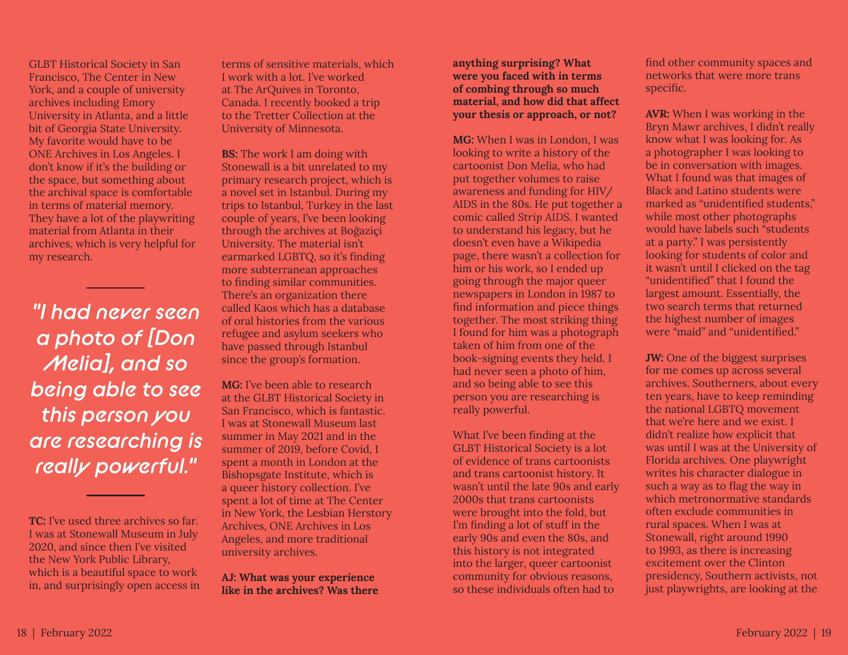GLBT Historical Society in San Francisco, The Center in New York, and a couple of university archives including Emory University in Atlanta, and a little bit of Georgia State University. My favorite would have to be ONE Archives in Los Angeles. I don't know if it's the building or the space, but something about the archival space is comfortable in terms of material memory. They have a lot of the playwriting material from Atlanta in their archives, which is very helpful for my research.

*"I had never seen a photo of [Don Melia], and so being able to see this person you are researching is really powerful."*

**TC:** I've used three archives so far. I was at Stonewall Museum in July 2020, and since then I've visited the New York Public Library, which is a beautiful space to work in, and surprisingly open access in terms of sensitive materials, which I work with a lot. I've worked at The ArQuives in Toronto, Canada. I recently booked a trip to the Tretter Collection at the University of Minnesota.

**BS:** The work I am doing with Stonewall is a bit unrelated to my primary research project, which is a novel set in Istanbul. During my trips to Istanbul, Turkey in the last couple of years, I've been looking through the archives at Boğaziçi University. The material isn't earmarked LGBTQ, so it's finding more subterranean approaches to finding similar communities. There's an organization there called Kaos which has a database of oral histories from the various refugee and asylum seekers who have passed through Istanbul since the group's formation.

**MG:** I've been able to research at the GLBT Historical Society in San Francisco, which is fantastic. I was at Stonewall Museum last summer in May 2021 and in the summer of 2019, before Covid, I spent a month in London at the Bishopsgate Institute, which is a queer history collection. I've spent a lot of time at The Center in New York, the Lesbian Herstory Archives, ONE Archives in Los Angeles, and more traditional university archives.

**AJ: What was your experience like in the archives? Was there** 

#### **anything surprising? What were you faced with in terms of combing through so much material, and how did that affect your thesis or approach, or not?**

**MG:** When I was in London, I was looking to write a history of the cartoonist Don Melia, who had put together volumes to raise awareness and funding for HIV/ AIDS in the 80s. He put together a comic called *Strip AIDS*. I wanted to understand his legacy, but he doesn't even have a Wikipedia page, there wasn't a collection for him or his work, so I ended up going through the major queer newspapers in London in 1987 to find information and piece things together. The most striking thing I found for him was a photograph taken of him from one of the book-signing events they held. I had never seen a photo of him, and so being able to see this person you are researching is really powerful.

What I've been finding at the GLBT Historical Society is a lot of evidence of trans cartoonists and trans cartoonist history. It wasn't until the late 90s and early 2000s that trans cartoonists were brought into the fold, but I'm finding a lot of stuff in the early 90s and even the 80s, and this history is not integrated into the larger, queer cartoonist community for obvious reasons, so these individuals often had to

find other community spaces and networks that were more trans specific.

**AVR:** When I was working in the Bryn Mawr archives, I didn't really know what I was looking for. As a photographer I was looking to be in conversation with images. What I found was that images of Black and Latino students were marked as "unidentified students," while most other photographs would have labels such "students at a party." I was persistently looking for students of color and it wasn't until I clicked on the tag "unidentified" that I found the largest amount. Essentially, the two search terms that returned the highest number of images were "maid" and "unidentified."

**JW:** One of the biggest surprises for me comes up across several archives. Southerners, about every ten years, have to keep reminding the national LGBTQ movement that we're here and we exist. I didn't realize how explicit that was until I was at the University of Florida archives. One playwright writes his character dialogue in such a way as to flag the way in which metronormative standards often exclude communities in rural spaces. When I was at Stonewall, right around 1990 to 1993, as there is increasing excitement over the Clinton presidency, Southern activists, not just playwrights, are looking at the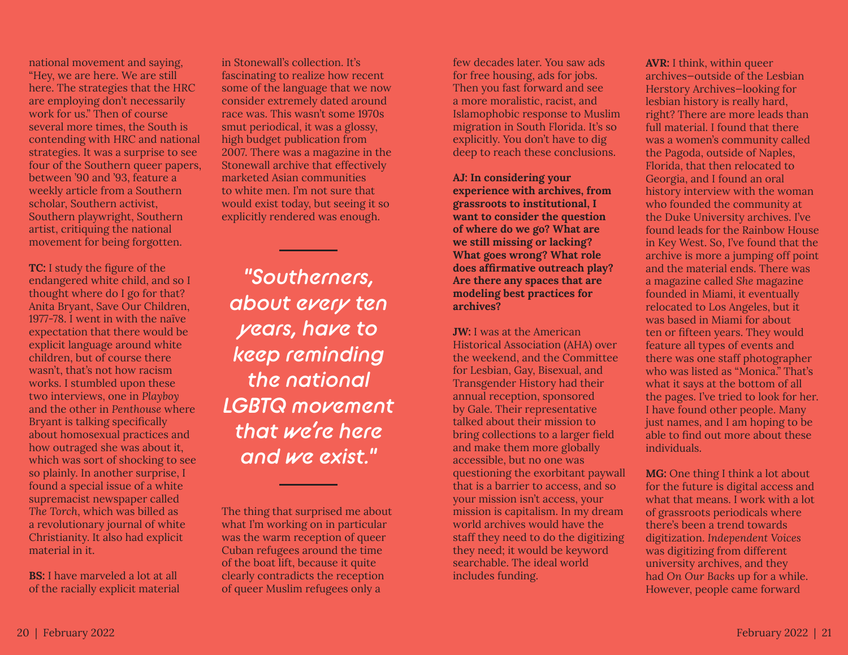national movement and saying, "Hey, we are here. We are still here. The strategies that the HRC are employing don't necessarily work for us." Then of course several more times, the South is contending with HRC and national strategies. It was a surprise to see four of the Southern queer papers, between '90 and '93, feature a weekly article from a Southern scholar, Southern activist, Southern playwright, Southern artist, critiquing the national movement for being forgotten.

**TC:** I study the figure of the endangered white child, and so I thought where do I go for that? Anita Bryant, Save Our Children, 1977-78. I went in with the naïve expectation that there would be explicit language around white children, but of course there wasn't, that's not how racism works. I stumbled upon these two interviews, one in *Playboy* and the other in *Penthouse* where Bryant is talking specifically about homosexual practices and how outraged she was about it, which was sort of shocking to see so plainly. In another surprise, I found a special issue of a white supremacist newspaper called *The Torch*, which was billed as a revolutionary journal of white Christianity. It also had explicit material in it.

**BS:** I have marveled a lot at all of the racially explicit material

in Stonewall's collection. It's fascinating to realize how recent some of the language that we now consider extremely dated around race was. This wasn't some 1970s smut periodical, it was a glossy, high budget publication from 2007. There was a magazine in the Stonewall archive that effectively marketed Asian communities to white men. I'm not sure that would exist today, but seeing it so explicitly rendered was enough.

*"Southerners, about every ten years, have to keep reminding the national LGBTQ movement that we're here and we exist."*

The thing that surprised me about what I'm working on in particular was the warm reception of queer Cuban refugees around the time of the boat lift, because it quite clearly contradicts the reception of queer Muslim refugees only a

few decades later. You saw ads for free housing, ads for jobs. Then you fast forward and see a more moralistic, racist, and Islamophobic response to Muslim migration in South Florida. It's so explicitly. You don't have to dig deep to reach these conclusions.

**AJ: In considering your experience with archives, from grassroots to institutional, I want to consider the question of where do we go? What are we still missing or lacking? What goes wrong? What role does affirmative outreach play? Are there any spaces that are modeling best practices for archives?**

**JW:** I was at the American Historical Association (AHA) over the weekend, and the Committee for Lesbian, Gay, Bisexual, and Transgender History had their annual reception, sponsored by Gale. Their representative talked about their mission to bring collections to a larger field and make them more globally accessible, but no one was questioning the exorbitant paywall that is a barrier to access, and so your mission isn't access, your mission is capitalism. In my dream world archives would have the staff they need to do the digitizing they need; it would be keyword searchable. The ideal world includes funding.

**AVR:** I think, within queer archives—outside of the Lesbian Herstory Archives—looking for lesbian history is really hard, right? There are more leads than full material. I found that there was a women's community called the Pagoda, outside of Naples, Florida, that then relocated to Georgia, and I found an oral history interview with the woman who founded the community at the Duke University archives. I've found leads for the Rainbow House in Key West. So, I've found that the archive is more a jumping off point and the material ends. There was a magazine called *She* magazine founded in Miami, it eventually relocated to Los Angeles, but it was based in Miami for about ten or fifteen years. They would feature all types of events and there was one staff photographer who was listed as "Monica." That's what it says at the bottom of all the pages. I've tried to look for her. I have found other people. Many just names, and I am hoping to be able to find out more about these individuals.

**MG:** One thing I think a lot about for the future is digital access and what that means. I work with a lot of grassroots periodicals where there's been a trend towards digitization. *Independent Voices* was digitizing from different university archives, and they had *On Our Backs* up for a while. However, people came forward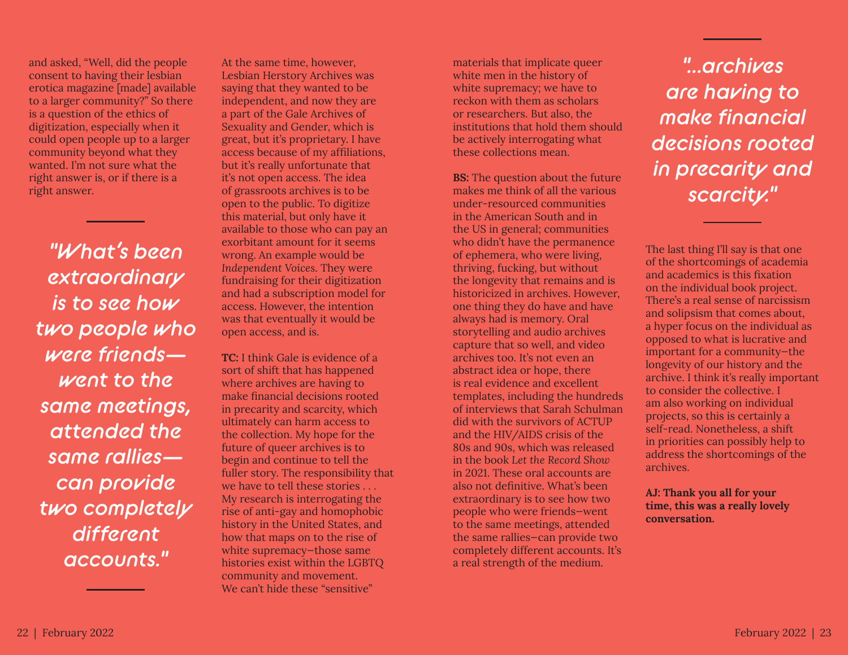and asked, "Well, did the people consent to having their lesbian erotica magazine [made] available to a larger community?" So there is a question of the ethics of digitization, especially when it could open people up to a larger community beyond what they wanted. I'm not sure what the right answer is, or if there is a right answer.

*"What's been extraordinary is to see how two people who were friends went to the same meetings, attended the same rallies can provide two completely different accounts."*

At the same time, however, Lesbian Herstory Archives was saying that they wanted to be independent, and now they are a part of the Gale Archives of Sexuality and Gender, which is great, but it's proprietary. I have access because of my affiliations, but it's really unfortunate that it's not open access. The idea of grassroots archives is to be open to the public. To digitize this material, but only have it available to those who can pay an exorbitant amount for it seems wrong. An example would be *Independent Voices*. They were fundraising for their digitization and had a subscription model for access. However, the intention was that eventually it would be open access, and is.

**TC:** I think Gale is evidence of a sort of shift that has happened where archives are having to make financial decisions rooted in precarity and scarcity, which ultimately can harm access to the collection. My hope for the future of queer archives is to begin and continue to tell the fuller story. The responsibility that we have to tell these stories . . . My research is interrogating the rise of anti-gay and homophobic history in the United States, and how that maps on to the rise of white supremacy—those same histories exist within the LGBTQ community and movement. We can't hide these "sensitive"

materials that implicate queer white men in the history of white supremacy; we have to reckon with them as scholars or researchers. But also, the institutions that hold them should be actively interrogating what these collections mean.

**BS:** The question about the future makes me think of all the various under-resourced communities in the American South and in the US in general; communities who didn't have the permanence of ephemera, who were living, thriving, fucking, but without the longevity that remains and is historicized in archives. However, one thing they do have and have always had is memory. Oral storytelling and audio archives capture that so well, and video archives too. It's not even an abstract idea or hope, there is real evidence and excellent templates, including the hundreds of interviews that Sarah Schulman did with the survivors of ACTUP and the HIV/AIDS crisis of the 80s and 90s, which was released in the book *Let the Record Show* in 2021. These oral accounts are also not definitive. What's been extraordinary is to see how two people who were friends—went to the same meetings, attended the same rallies—can provide two completely different accounts. It's a real strength of the medium.

*"...archives are having to make financial decisions rooted in precarity and scarcity."*

The last thing I'll say is that one of the shortcomings of academia and academics is this fixation on the individual book project. There's a real sense of narcissism and solipsism that comes about, a hyper focus on the individual as opposed to what is lucrative and important for a community—the longevity of our history and the archive. I think it's really important to consider the collective. I am also working on individual projects, so this is certainly a self-read. Nonetheless, a shift in priorities can possibly help to address the shortcomings of the archives.

**AJ: Thank you all for your time, this was a really lovely conversation.**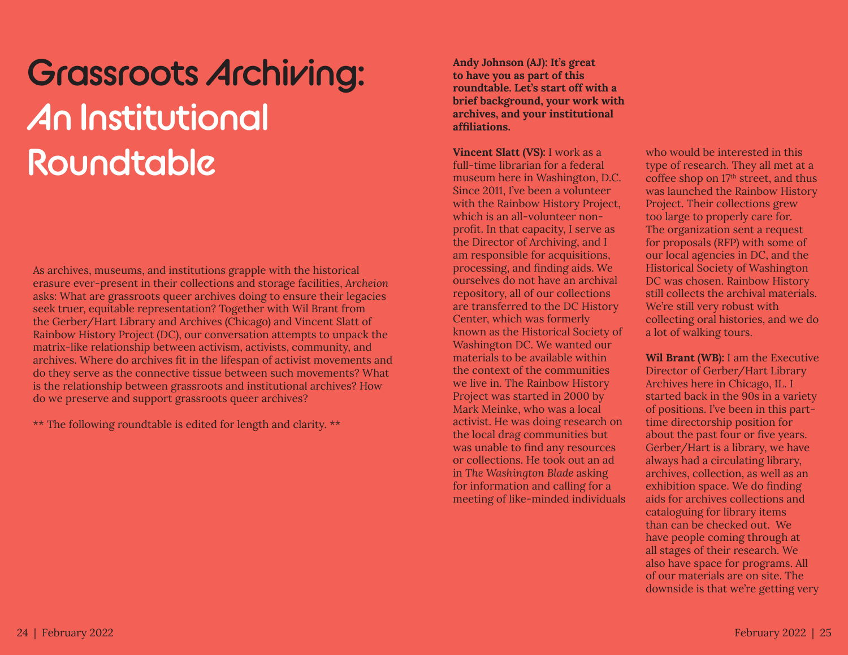### **Grassroots Archiving: An Institutional Roundtable**

As archives, museums, and institutions grapple with the historical erasure ever-present in their collections and storage facilities, *Archeion* asks: What are grassroots queer archives doing to ensure their legacies seek truer, equitable representation? Together with Wil Brant from the Gerber/Hart Library and Archives (Chicago) and Vincent Slatt of Rainbow History Project (DC), our conversation attempts to unpack the matrix-like relationship between activism, activists, community, and archives. Where do archives fit in the lifespan of activist movements and do they serve as the connective tissue between such movements? What is the relationship between grassroots and institutional archives? How do we preserve and support grassroots queer archives?

\*\* The following roundtable is edited for length and clarity. \*\*

**Andy Johnson (AJ): It's great to have you as part of this roundtable. Let's start off with a brief background, your work with archives, and your institutional affiliations.**

**Vincent Slatt (VS):** I work as a full-time librarian for a federal museum here in Washington, D.C. Since 2011, I've been a volunteer with the Rainbow History Project, which is an all-volunteer nonprofit. In that capacity, I serve as the Director of Archiving, and I am responsible for acquisitions, processing, and finding aids. We ourselves do not have an archival repository, all of our collections are transferred to the DC History Center, which was formerly known as the Historical Society of Washington DC. We wanted our materials to be available within the context of the communities we live in. The Rainbow History Project was started in 2000 by Mark Meinke, who was a local activist. He was doing research on the local drag communities but was unable to find any resources or collections. He took out an ad in *The Washington Blade* asking for information and calling for a meeting of like-minded individuals

who would be interested in this type of research. They all met at a coffee shop on 17th street, and thus was launched the Rainbow History Project. Their collections grew too large to properly care for. The organization sent a request for proposals (RFP) with some of our local agencies in DC, and the Historical Society of Washington DC was chosen. Rainbow History still collects the archival materials. We're still very robust with collecting oral histories, and we do a lot of walking tours.

**Wil Brant (WB):** I am the Executive Director of Gerber/Hart Library Archives here in Chicago, IL. I started back in the 90s in a variety of positions. I've been in this parttime directorship position for about the past four or five years. Gerber/Hart is a library, we have always had a circulating library, archives, collection, as well as an exhibition space. We do finding aids for archives collections and cataloguing for library items than can be checked out. We have people coming through at all stages of their research. We also have space for programs. All of our materials are on site. The downside is that we're getting very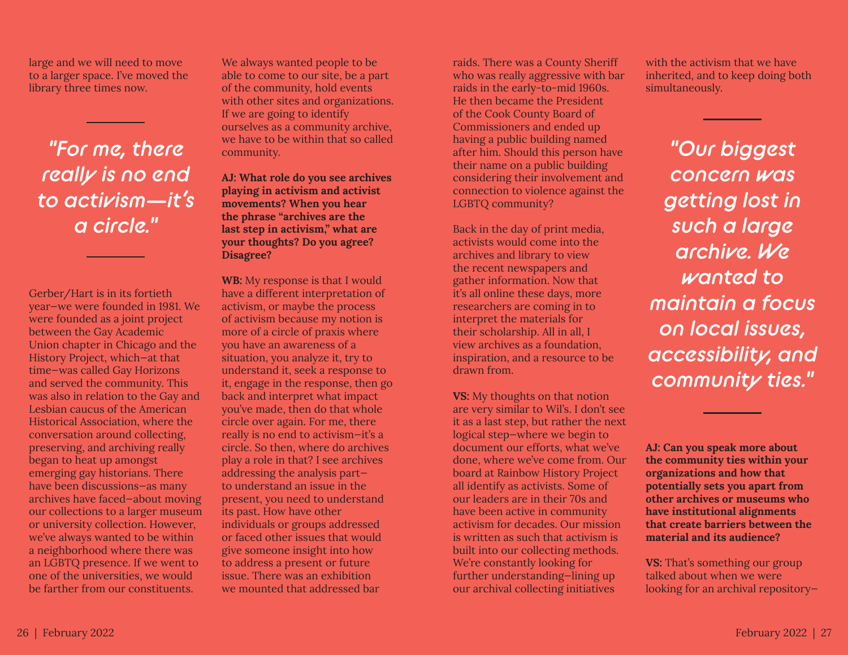large and we will need to move to a larger space. I've moved the library three times now.

*"For me, there really is no end to activism—it's a circle."*

Gerber/Hart is in its fortieth year—we were founded in 1981. We were founded as a joint project between the Gay Academic Union chapter in Chicago and the History Project, which—at that time—was called Gay Horizons and served the community. This was also in relation to the Gay and Lesbian caucus of the American Historical Association, where the conversation around collecting, preserving, and archiving really began to heat up amongst emerging gay historians. There have been discussions—as many archives have faced—about moving our collections to a larger museum or university collection. However, we've always wanted to be within a neighborhood where there was an LGBTQ presence. If we went to one of the universities, we would be farther from our constituents.

We always wanted people to be able to come to our site, be a part of the community, hold events with other sites and organizations. If we are going to identify ourselves as a community archive, we have to be within that so called community.

**AJ: What role do you see archives playing in activism and activist movements? When you hear the phrase "archives are the last step in activism," what are your thoughts? Do you agree? Disagree?**

**WB:** My response is that I would have a different interpretation of activism, or maybe the process of activism because my notion is more of a circle of praxis where you have an awareness of a situation, you analyze it, try to understand it, seek a response to it, engage in the response, then go back and interpret what impact you've made, then do that whole circle over again. For me, there really is no end to activism—it's a circle. So then, where do archives play a role in that? I see archives addressing the analysis part to understand an issue in the present, you need to understand its past. How have other individuals or groups addressed or faced other issues that would give someone insight into how to address a present or future issue. There was an exhibition we mounted that addressed bar

raids. There was a County Sheriff who was really aggressive with bar raids in the early-to-mid 1960s. He then became the President of the Cook County Board of Commissioners and ended up having a public building named after him. Should this person have their name on a public building considering their involvement and connection to violence against the LGBTQ community?

Back in the day of print media, activists would come into the archives and library to view the recent newspapers and gather information. Now that it's all online these days, more researchers are coming in to interpret the materials for their scholarship. All in all, I view archives as a foundation, inspiration, and a resource to be drawn from.

**VS:** My thoughts on that notion are very similar to Wil's. I don't see it as a last step, but rather the next logical step—where we begin to document our efforts, what we've done, where we've come from. Our board at Rainbow History Project all identify as activists. Some of our leaders are in their 70s and have been active in community activism for decades. Our mission is written as such that activism is built into our collecting methods. We're constantly looking for further understanding—lining up our archival collecting initiatives

with the activism that we have inherited, and to keep doing both simultaneously.

*"Our biggest concern was getting lost in such a large archive. We wanted to maintain a focus on local issues, accessibility, and community ties."*

**AJ: Can you speak more about the community ties within your organizations and how that potentially sets you apart from other archives or museums who have institutional alignments that create barriers between the material and its audience?**

**VS:** That's something our group talked about when we were looking for an archival repository—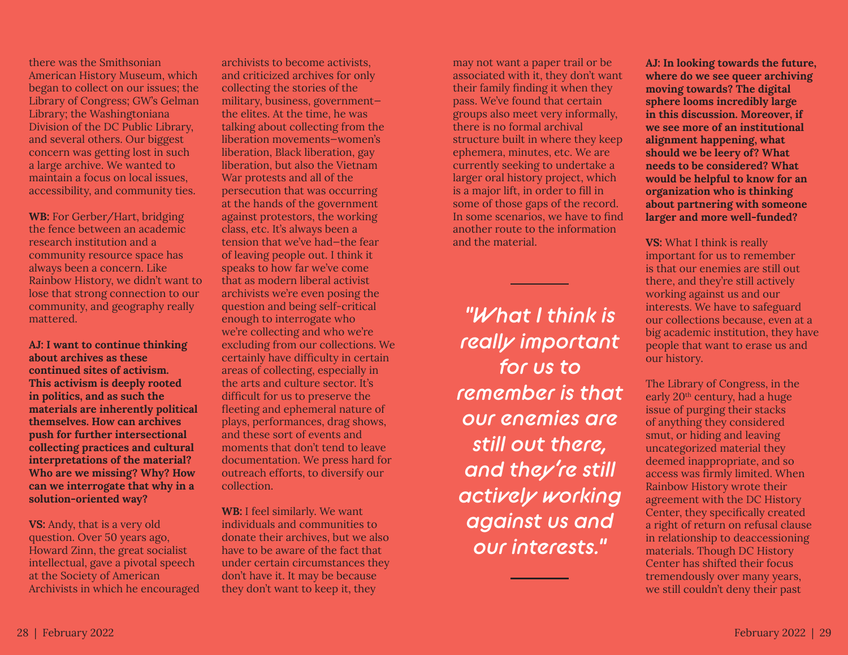there was the Smithsonian American History Museum, which began to collect on our issues; the Library of Congress; GW's Gelman Library; the Washingtoniana Division of the DC Public Library, and several others. Our biggest concern was getting lost in such a large archive. We wanted to maintain a focus on local issues, accessibility, and community ties.

**WB:** For Gerber/Hart, bridging the fence between an academic research institution and a community resource space has always been a concern. Like Rainbow History, we didn't want to lose that strong connection to our community, and geography really mattered.

**AJ: I want to continue thinking about archives as these continued sites of activism. This activism is deeply rooted in politics, and as such the materials are inherently political themselves. How can archives push for further intersectional collecting practices and cultural interpretations of the material? Who are we missing? Why? How can we interrogate that why in a solution-oriented way?**

**VS:** Andy, that is a very old question. Over 50 years ago, Howard Zinn, the great socialist intellectual, gave a pivotal speech at the Society of American Archivists in which he encouraged

archivists to become activists, and criticized archives for only collecting the stories of the military, business, government the elites. At the time, he was talking about collecting from the liberation movements—women's liberation, Black liberation, gay liberation, but also the Vietnam War protests and all of the persecution that was occurring at the hands of the government against protestors, the working class, etc. It's always been a tension that we've had—the fear of leaving people out. I think it speaks to how far we've come that as modern liberal activist archivists we're even posing the question and being self-critical enough to interrogate who we're collecting and who we're excluding from our collections. We certainly have difficulty in certain areas of collecting, especially in the arts and culture sector. It's difficult for us to preserve the fleeting and ephemeral nature of plays, performances, drag shows, and these sort of events and moments that don't tend to leave documentation. We press hard for outreach efforts, to diversify our collection.

**WB:** I feel similarly. We want individuals and communities to donate their archives, but we also have to be aware of the fact that under certain circumstances they don't have it. It may be because they don't want to keep it, they

may not want a paper trail or be associated with it, they don't want their family finding it when they pass. We've found that certain groups also meet very informally, there is no formal archival structure built in where they keep ephemera, minutes, etc. We are currently seeking to undertake a larger oral history project, which is a major lift, in order to fill in some of those gaps of the record. In some scenarios, we have to find another route to the information and the material.

*"What I think is really important for us to remember is that our enemies are still out there, and they're still actively working against us and our interests."*

**AJ: In looking towards the future, where do we see queer archiving moving towards? The digital sphere looms incredibly large in this discussion. Moreover, if we see more of an institutional alignment happening, what should we be leery of? What needs to be considered? What would be helpful to know for an organization who is thinking about partnering with someone larger and more well-funded?**

**VS:** What I think is really important for us to remember is that our enemies are still out there, and they're still actively working against us and our interests. We have to safeguard our collections because, even at a big academic institution, they have people that want to erase us and our history.

The Library of Congress, in the early 20th century, had a huge issue of purging their stacks of anything they considered smut, or hiding and leaving uncategorized material they deemed inappropriate, and so access was firmly limited. When Rainbow History wrote their agreement with the DC History Center, they specifically created a right of return on refusal clause in relationship to deaccessioning materials. Though DC History Center has shifted their focus tremendously over many years, we still couldn't deny their past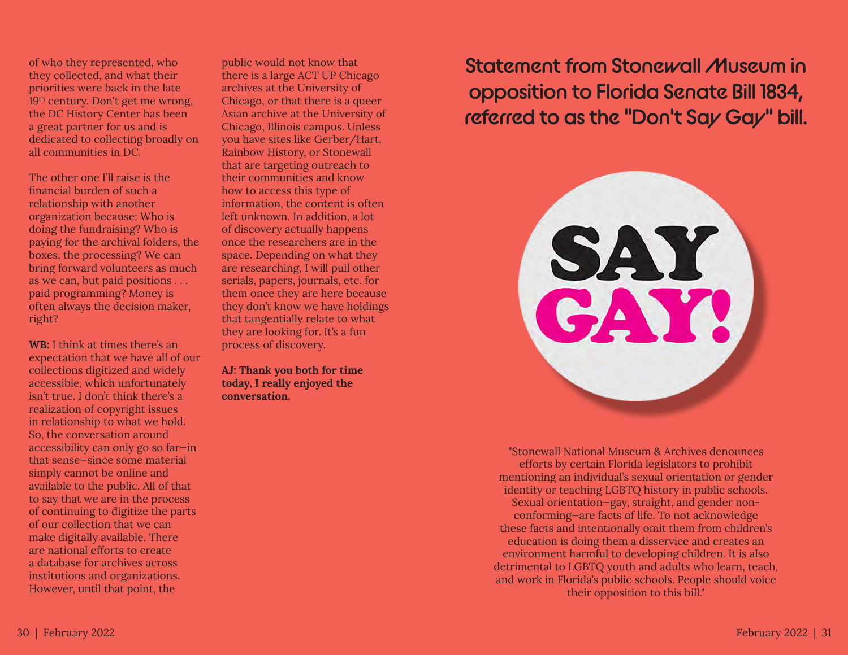of who they represented, who they collected, and what their priorities were back in the late 19<sup>th</sup> century. Don't get me wrong, the DC History Center has been a great partner for us and is dedicated to collecting broadly on all communities in DC.

The other one I'll raise is the financial burden of such a relationship with another organization because: Who is doing the fundraising? Who is paying for the archival folders, the boxes, the processing? We can bring forward volunteers as much as we can, but paid positions . . . paid programming? Money is often always the decision maker, right?

**WB:** I think at times there's an expectation that we have all of our collections digitized and widely accessible, which unfortunately isn't true. I don't think there's a realization of copyright issues in relationship to what we hold. So, the conversation around accessibility can only go so far—in that sense—since some material simply cannot be online and available to the public. All of that to say that we are in the process of continuing to digitize the parts of our collection that we can make digitally available. There are national efforts to create a database for archives across institutions and organizations. However, until that point, the

public would not know that there is a large ACT UP Chicago archives at the University of Chicago, or that there is a queer Asian archive at the University of Chicago, Illinois campus. Unless you have sites like Gerber/Hart, Rainbow History, or Stonewall that are targeting outreach to their communities and know how to access this type of information, the content is often left unknown. In addition, a lot of discovery actually happens once the researchers are in the space. Depending on what they are researching, I will pull other serials, papers, journals, etc. for them once they are here because they don't know we have holdings that tangentially relate to what they are looking for. It's a fun process of discovery.

**AJ: Thank you both for time today, I really enjoyed the conversation.**

**Statement from Stonewall Museum in opposition to Florida Senate Bill 1834, referred to as the "Don't Say Gay" bill.**



"Stonewall National Museum & Archives denounces efforts by certain Florida legislators to prohibit mentioning an individual's sexual orientation or gender identity or teaching LGBTQ history in public schools. Sexual orientation—gay, straight, and gender nonconforming—are facts of life. To not acknowledge these facts and intentionally omit them from children's education is doing them a disservice and creates an environment harmful to developing children. It is also detrimental to LGBTQ youth and adults who learn, teach, and work in Florida's public schools. People should voice their opposition to this bill."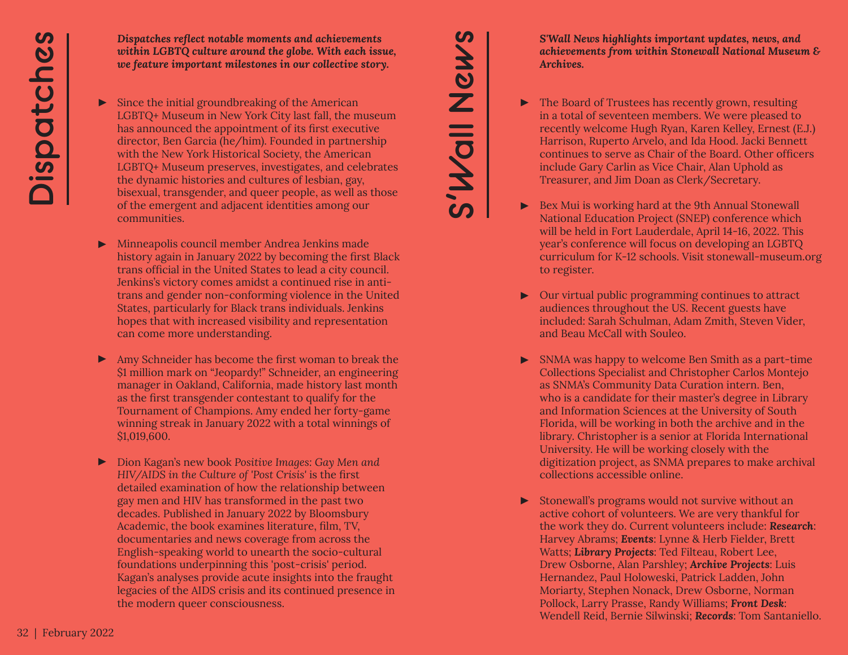*Dispatches reflect notable moments and achievements within LGBTQ culture around the globe. With each issue, we feature important milestones in our collective story.*

- $\blacktriangleright$  Since the initial groundbreaking of the American LGBTQ+ Museum in New York City last fall, the museum has announced the appointment of its first executive director, Ben Garcia (he/him). Founded in partnership with the New York Historical Society, the American LGBTQ+ Museum preserves, investigates, and celebrates the dynamic histories and cultures of lesbian, gay, bisexual, transgender, and queer people, as well as those of the emergent and adjacent identities among our communities.
- Minneapolis council member Andrea Jenkins made history again in January 2022 by becoming the first Black trans official in the United States to lead a city council. Jenkins's victory comes amidst a continued rise in antitrans and gender non-conforming violence in the United States, particularly for Black trans individuals. Jenkins hopes that with increased visibility and representation can come more understanding. ▶
- ▶ Amy Schneider has become the first woman to break the \$1 million mark on "Jeopardy!" Schneider, an engineering manager in Oakland, California, made history last month as the first transgender contestant to qualify for the Tournament of Champions. Amy ended her forty-game winning streak in January 2022 with a total winnings of \$1,019,600.
- Dion Kagan's new book *Positive Images: Gay Men and*  ▶ *HIV/AIDS in the Culture of 'Post Crisis'* is the first detailed examination of how the relationship between gay men and HIV has transformed in the past two decades. Published in January 2022 by Bloomsbury Academic, the book examines literature, film, TV, documentaries and news coverage from across the English-speaking world to unearth the socio-cultural foundations underpinning this 'post-crisis' period. Kagan's analyses provide acute insights into the fraught legacies of the AIDS crisis and its continued presence in the modern queer consciousness.

*S'Wall News highlights important updates, news, and achievements from within Stonewall National Museum & Archives.*

▶ The Board of Trustees has recently grown, resulting in a total of seventeen members. We were pleased to recently welcome Hugh Ryan, Karen Kelley, Ernest (E.J.) Harrison, Ruperto Arvelo, and Ida Hood. Jacki Bennett continues to serve as Chair of the Board. Other officers include Gary Carlin as Vice Chair, Alan Uphold as Treasurer, and Jim Doan as Clerk/Secretary.

**S'Wall News**

S'Wall News

- ▶ Bex Mui is working hard at the 9th Annual Stonewall National Education Project (SNEP) conference which will be held in Fort Lauderdale, April 14-16, 2022. This year's conference will focus on developing an LGBTQ curriculum for K-12 schools. Visit stonewall-museum.org to register.
- ▶ Our virtual public programming continues to attract audiences throughout the US. Recent guests have included: Sarah Schulman, Adam Zmith, Steven Vider, and Beau McCall with Souleo.
- ▶ SNMA was happy to welcome Ben Smith as a part-time Collections Specialist and Christopher Carlos Montejo as SNMA's Community Data Curation intern. Ben, who is a candidate for their master's degree in Library and Information Sciences at the University of South Florida, will be working in both the archive and in the library. Christopher is a senior at Florida International University. He will be working closely with the digitization project, as SNMA prepares to make archival collections accessible online.
- ▶ Stonewall's programs would not survive without an active cohort of volunteers. We are very thankful for the work they do. Current volunteers include: *Research*: Harvey Abrams; *Events*: Lynne & Herb Fielder, Brett Watts; *Library Projects*: Ted Filteau, Robert Lee, Drew Osborne, Alan Parshley; *Archive Projects*: Luis Hernandez, Paul Holoweski, Patrick Ladden, John Moriarty, Stephen Nonack, Drew Osborne, Norman Pollock, Larry Prasse, Randy Williams; *Front Desk*: Wendell Reid, Bernie Silwinski; *Records*: Tom Santaniello.